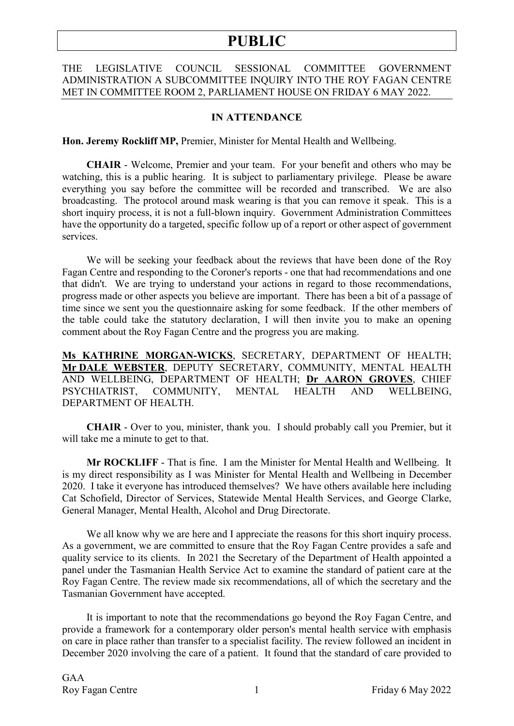### THE LEGISLATIVE COUNCIL SESSIONAL COMMITTEE GOVERNMENT ADMINISTRATION A SUBCOMMITTEE INQUIRY INTO THE ROY FAGAN CENTRE MET IN COMMITTEE ROOM 2, PARLIAMENT HOUSE ON FRIDAY 6 MAY 2022.

### **IN ATTENDANCE**

**Hon. Jeremy Rockliff MP,** Premier, Minister for Mental Health and Wellbeing.

**CHAIR** - Welcome, Premier and your team. For your benefit and others who may be watching, this is a public hearing. It is subject to parliamentary privilege. Please be aware everything you say before the committee will be recorded and transcribed. We are also broadcasting. The protocol around mask wearing is that you can remove it speak. This is a short inquiry process, it is not a full-blown inquiry. Government Administration Committees have the opportunity do a targeted, specific follow up of a report or other aspect of government services.

We will be seeking your feedback about the reviews that have been done of the Roy Fagan Centre and responding to the Coroner's reports - one that had recommendations and one that didn't. We are trying to understand your actions in regard to those recommendations, progress made or other aspects you believe are important. There has been a bit of a passage of time since we sent you the questionnaire asking for some feedback. If the other members of the table could take the statutory declaration, I will then invite you to make an opening comment about the Roy Fagan Centre and the progress you are making.

**Ms KATHRINE MORGAN-WICKS**, SECRETARY, DEPARTMENT OF HEALTH; **Mr DALE WEBSTER**, DEPUTY SECRETARY, COMMUNITY, MENTAL HEALTH AND WELLBEING, DEPARTMENT OF HEALTH; **Dr AARON GROVES**, CHIEF PSYCHIATRIST, COMMUNITY, MENTAL HEALTH AND WELLBEING, DEPARTMENT OF HEALTH.

**CHAIR** - Over to you, minister, thank you. I should probably call you Premier, but it will take me a minute to get to that.

**Mr ROCKLIFF** - That is fine. I am the Minister for Mental Health and Wellbeing. It is my direct responsibility as I was Minister for Mental Health and Wellbeing in December 2020. I take it everyone has introduced themselves? We have others available here including Cat Schofield, Director of Services, Statewide Mental Health Services, and George Clarke, General Manager, Mental Health, Alcohol and Drug Directorate.

We all know why we are here and I appreciate the reasons for this short inquiry process. As a government, we are committed to ensure that the Roy Fagan Centre provides a safe and quality service to its clients. In 2021 the Secretary of the Department of Health appointed a panel under the Tasmanian Health Service Act to examine the standard of patient care at the Roy Fagan Centre. The review made six recommendations, all of which the secretary and the Tasmanian Government have accepted.

It is important to note that the recommendations go beyond the Roy Fagan Centre, and provide a framework for a contemporary older person's mental health service with emphasis on care in place rather than transfer to a specialist facility. The review followed an incident in December 2020 involving the care of a patient. It found that the standard of care provided to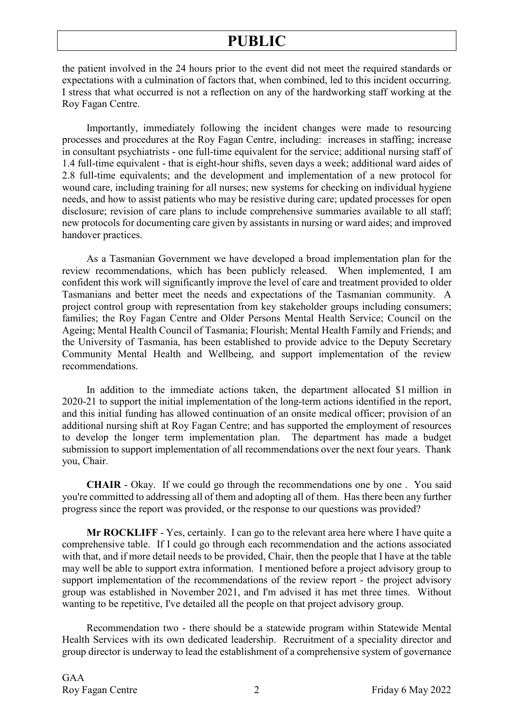the patient involved in the 24 hours prior to the event did not meet the required standards or expectations with a culmination of factors that, when combined, led to this incident occurring. I stress that what occurred is not a reflection on any of the hardworking staff working at the Roy Fagan Centre.

Importantly, immediately following the incident changes were made to resourcing processes and procedures at the Roy Fagan Centre, including: increases in staffing; increase in consultant psychiatrists - one full-time equivalent for the service; additional nursing staff of 1.4 full-time equivalent - that is eight-hour shifts, seven days a week; additional ward aides of 2.8 full-time equivalents; and the development and implementation of a new protocol for wound care, including training for all nurses; new systems for checking on individual hygiene needs, and how to assist patients who may be resistive during care; updated processes for open disclosure; revision of care plans to include comprehensive summaries available to all staff; new protocols for documenting care given by assistants in nursing or ward aides; and improved handover practices.

As a Tasmanian Government we have developed a broad implementation plan for the review recommendations, which has been publicly released. When implemented, I am confident this work will significantly improve the level of care and treatment provided to older Tasmanians and better meet the needs and expectations of the Tasmanian community. A project control group with representation from key stakeholder groups including consumers; families; the Roy Fagan Centre and Older Persons Mental Health Service; Council on the Ageing; Mental Health Council of Tasmania; Flourish; Mental Health Family and Friends; and the University of Tasmania, has been established to provide advice to the Deputy Secretary Community Mental Health and Wellbeing, and support implementation of the review recommendations.

In addition to the immediate actions taken, the department allocated \$1 million in 2020-21 to support the initial implementation of the long-term actions identified in the report, and this initial funding has allowed continuation of an onsite medical officer; provision of an additional nursing shift at Roy Fagan Centre; and has supported the employment of resources to develop the longer term implementation plan. The department has made a budget submission to support implementation of all recommendations over the next four years. Thank you, Chair.

**CHAIR** - Okay. If we could go through the recommendations one by one . You said you're committed to addressing all of them and adopting all of them. Has there been any further progress since the report was provided, or the response to our questions was provided?

**Mr ROCKLIFF** - Yes, certainly. I can go to the relevant area here where I have quite a comprehensive table. If I could go through each recommendation and the actions associated with that, and if more detail needs to be provided, Chair, then the people that I have at the table may well be able to support extra information. I mentioned before a project advisory group to support implementation of the recommendations of the review report - the project advisory group was established in November 2021, and I'm advised it has met three times. Without wanting to be repetitive, I've detailed all the people on that project advisory group.

Recommendation two - there should be a statewide program within Statewide Mental Health Services with its own dedicated leadership. Recruitment of a speciality director and group director is underway to lead the establishment of a comprehensive system of governance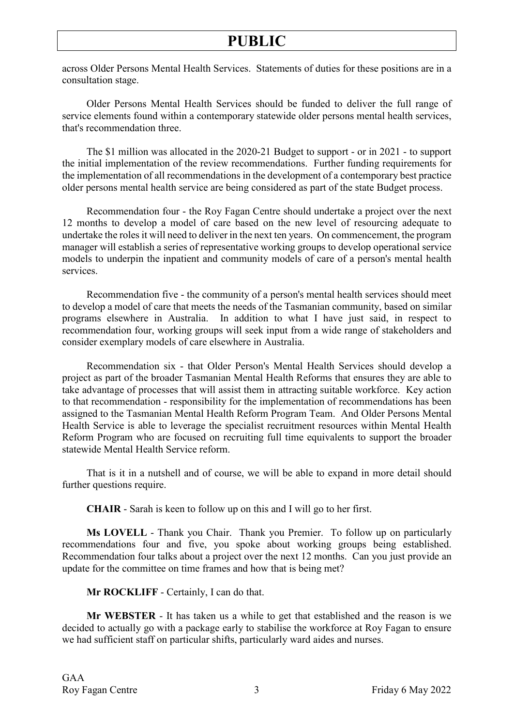across Older Persons Mental Health Services. Statements of duties for these positions are in a consultation stage.

Older Persons Mental Health Services should be funded to deliver the full range of service elements found within a contemporary statewide older persons mental health services, that's recommendation three.

The \$1 million was allocated in the 2020-21 Budget to support - or in 2021 - to support the initial implementation of the review recommendations. Further funding requirements for the implementation of all recommendations in the development of a contemporary best practice older persons mental health service are being considered as part of the state Budget process.

Recommendation four - the Roy Fagan Centre should undertake a project over the next 12 months to develop a model of care based on the new level of resourcing adequate to undertake the roles it will need to deliver in the next ten years. On commencement, the program manager will establish a series of representative working groups to develop operational service models to underpin the inpatient and community models of care of a person's mental health services.

Recommendation five - the community of a person's mental health services should meet to develop a model of care that meets the needs of the Tasmanian community, based on similar programs elsewhere in Australia. In addition to what I have just said, in respect to recommendation four, working groups will seek input from a wide range of stakeholders and consider exemplary models of care elsewhere in Australia.

Recommendation six - that Older Person's Mental Health Services should develop a project as part of the broader Tasmanian Mental Health Reforms that ensures they are able to take advantage of processes that will assist them in attracting suitable workforce. Key action to that recommendation - responsibility for the implementation of recommendations has been assigned to the Tasmanian Mental Health Reform Program Team. And Older Persons Mental Health Service is able to leverage the specialist recruitment resources within Mental Health Reform Program who are focused on recruiting full time equivalents to support the broader statewide Mental Health Service reform.

That is it in a nutshell and of course, we will be able to expand in more detail should further questions require.

**CHAIR** - Sarah is keen to follow up on this and I will go to her first.

**Ms LOVELL** - Thank you Chair. Thank you Premier. To follow up on particularly recommendations four and five, you spoke about working groups being established. Recommendation four talks about a project over the next 12 months. Can you just provide an update for the committee on time frames and how that is being met?

**Mr ROCKLIFF** - Certainly, I can do that.

**Mr WEBSTER** - It has taken us a while to get that established and the reason is we decided to actually go with a package early to stabilise the workforce at Roy Fagan to ensure we had sufficient staff on particular shifts, particularly ward aides and nurses.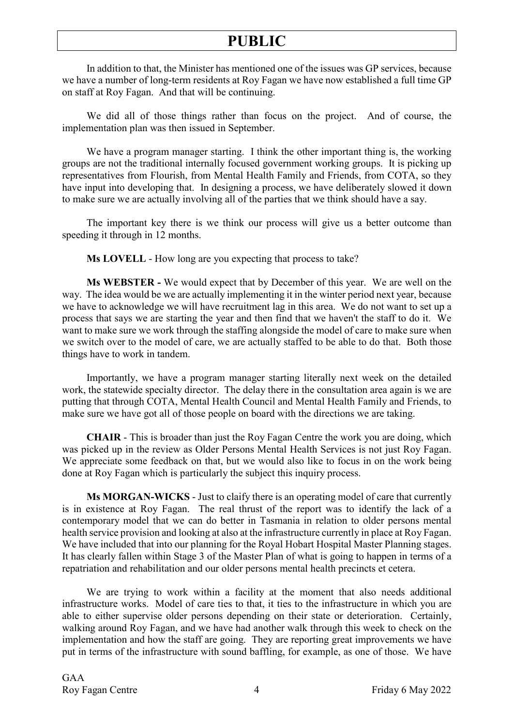In addition to that, the Minister has mentioned one of the issues was GP services, because we have a number of long-term residents at Roy Fagan we have now established a full time GP on staff at Roy Fagan. And that will be continuing.

We did all of those things rather than focus on the project. And of course, the implementation plan was then issued in September.

We have a program manager starting. I think the other important thing is, the working groups are not the traditional internally focused government working groups. It is picking up representatives from Flourish, from Mental Health Family and Friends, from COTA, so they have input into developing that. In designing a process, we have deliberately slowed it down to make sure we are actually involving all of the parties that we think should have a say.

The important key there is we think our process will give us a better outcome than speeding it through in 12 months.

**Ms LOVELL** - How long are you expecting that process to take?

**Ms WEBSTER -** We would expect that by December of this year. We are well on the way. The idea would be we are actually implementing it in the winter period next year, because we have to acknowledge we will have recruitment lag in this area. We do not want to set up a process that says we are starting the year and then find that we haven't the staff to do it. We want to make sure we work through the staffing alongside the model of care to make sure when we switch over to the model of care, we are actually staffed to be able to do that. Both those things have to work in tandem.

Importantly, we have a program manager starting literally next week on the detailed work, the statewide specialty director. The delay there in the consultation area again is we are putting that through COTA, Mental Health Council and Mental Health Family and Friends, to make sure we have got all of those people on board with the directions we are taking.

**CHAIR** - This is broader than just the Roy Fagan Centre the work you are doing, which was picked up in the review as Older Persons Mental Health Services is not just Roy Fagan. We appreciate some feedback on that, but we would also like to focus in on the work being done at Roy Fagan which is particularly the subject this inquiry process.

**Ms MORGAN-WICKS** - Just to claify there is an operating model of care that currently is in existence at Roy Fagan. The real thrust of the report was to identify the lack of a contemporary model that we can do better in Tasmania in relation to older persons mental health service provision and looking at also at the infrastructure currently in place at Roy Fagan. We have included that into our planning for the Royal Hobart Hospital Master Planning stages. It has clearly fallen within Stage 3 of the Master Plan of what is going to happen in terms of a repatriation and rehabilitation and our older persons mental health precincts et cetera.

We are trying to work within a facility at the moment that also needs additional infrastructure works. Model of care ties to that, it ties to the infrastructure in which you are able to either supervise older persons depending on their state or deterioration. Certainly, walking around Roy Fagan, and we have had another walk through this week to check on the implementation and how the staff are going. They are reporting great improvements we have put in terms of the infrastructure with sound baffling, for example, as one of those. We have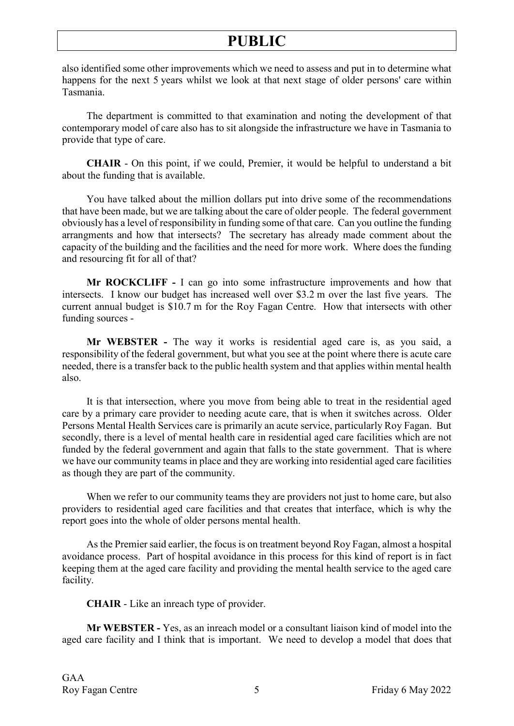also identified some other improvements which we need to assess and put in to determine what happens for the next 5 years whilst we look at that next stage of older persons' care within Tasmania.

The department is committed to that examination and noting the development of that contemporary model of care also has to sit alongside the infrastructure we have in Tasmania to provide that type of care.

**CHAIR** - On this point, if we could, Premier, it would be helpful to understand a bit about the funding that is available.

You have talked about the million dollars put into drive some of the recommendations that have been made, but we are talking about the care of older people. The federal government obviously has a level of responsibility in funding some of that care. Can you outline the funding arrangments and how that intersects? The secretary has already made comment about the capacity of the building and the facilities and the need for more work. Where does the funding and resourcing fit for all of that?

**Mr ROCKCLIFF -** I can go into some infrastructure improvements and how that intersects. I know our budget has increased well over \$3.2 m over the last five years. The current annual budget is \$10.7 m for the Roy Fagan Centre. How that intersects with other funding sources -

**Mr WEBSTER -** The way it works is residential aged care is, as you said, a responsibility of the federal government, but what you see at the point where there is acute care needed, there is a transfer back to the public health system and that applies within mental health also.

It is that intersection, where you move from being able to treat in the residential aged care by a primary care provider to needing acute care, that is when it switches across. Older Persons Mental Health Services care is primarily an acute service, particularly Roy Fagan. But secondly, there is a level of mental health care in residential aged care facilities which are not funded by the federal government and again that falls to the state government. That is where we have our community teams in place and they are working into residential aged care facilities as though they are part of the community.

When we refer to our community teams they are providers not just to home care, but also providers to residential aged care facilities and that creates that interface, which is why the report goes into the whole of older persons mental health.

As the Premier said earlier, the focus is on treatment beyond Roy Fagan, almost a hospital avoidance process. Part of hospital avoidance in this process for this kind of report is in fact keeping them at the aged care facility and providing the mental health service to the aged care facility.

**CHAIR** - Like an inreach type of provider.

**Mr WEBSTER -** Yes, as an inreach model or a consultant liaison kind of model into the aged care facility and I think that is important. We need to develop a model that does that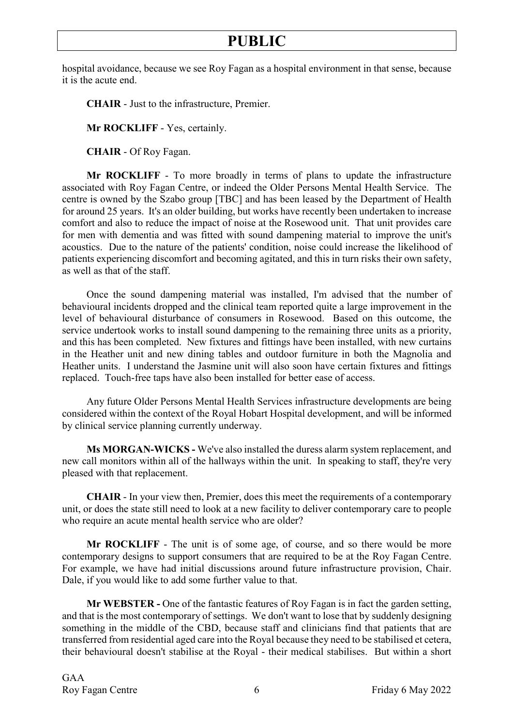hospital avoidance, because we see Roy Fagan as a hospital environment in that sense, because it is the acute end.

**CHAIR** - Just to the infrastructure, Premier.

**Mr ROCKLIFF** - Yes, certainly.

**CHAIR** - Of Roy Fagan.

**Mr ROCKLIFF** - To more broadly in terms of plans to update the infrastructure associated with Roy Fagan Centre, or indeed the Older Persons Mental Health Service. The centre is owned by the Szabo group [TBC] and has been leased by the Department of Health for around 25 years. It's an older building, but works have recently been undertaken to increase comfort and also to reduce the impact of noise at the Rosewood unit. That unit provides care for men with dementia and was fitted with sound dampening material to improve the unit's acoustics. Due to the nature of the patients' condition, noise could increase the likelihood of patients experiencing discomfort and becoming agitated, and this in turn risks their own safety, as well as that of the staff.

Once the sound dampening material was installed, I'm advised that the number of behavioural incidents dropped and the clinical team reported quite a large improvement in the level of behavioural disturbance of consumers in Rosewood. Based on this outcome, the service undertook works to install sound dampening to the remaining three units as a priority, and this has been completed. New fixtures and fittings have been installed, with new curtains in the Heather unit and new dining tables and outdoor furniture in both the Magnolia and Heather units. I understand the Jasmine unit will also soon have certain fixtures and fittings replaced. Touch-free taps have also been installed for better ease of access.

Any future Older Persons Mental Health Services infrastructure developments are being considered within the context of the Royal Hobart Hospital development, and will be informed by clinical service planning currently underway.

**Ms MORGAN-WICKS -** We've also installed the duress alarm system replacement, and new call monitors within all of the hallways within the unit. In speaking to staff, they're very pleased with that replacement.

**CHAIR** - In your view then, Premier, does this meet the requirements of a contemporary unit, or does the state still need to look at a new facility to deliver contemporary care to people who require an acute mental health service who are older?

**Mr ROCKLIFF** - The unit is of some age, of course, and so there would be more contemporary designs to support consumers that are required to be at the Roy Fagan Centre. For example, we have had initial discussions around future infrastructure provision, Chair. Dale, if you would like to add some further value to that.

**Mr WEBSTER -** One of the fantastic features of Roy Fagan is in fact the garden setting, and that is the most contemporary of settings. We don't want to lose that by suddenly designing something in the middle of the CBD, because staff and clinicians find that patients that are transferred from residential aged care into the Royal because they need to be stabilised et cetera, their behavioural doesn't stabilise at the Royal - their medical stabilises. But within a short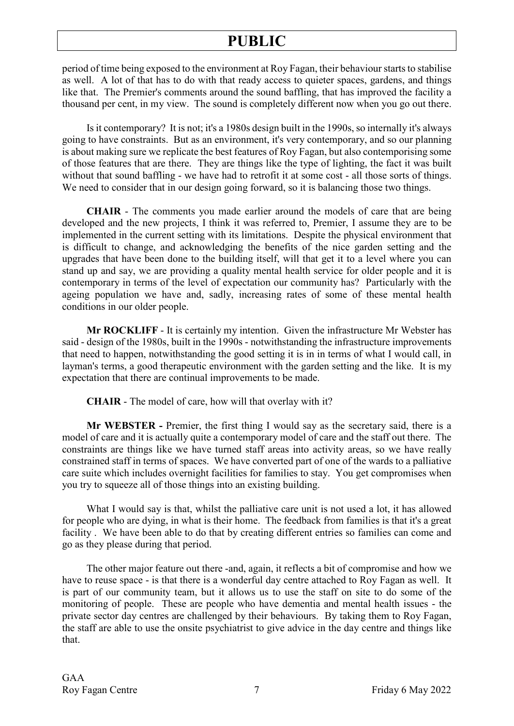period of time being exposed to the environment at Roy Fagan, their behaviour starts to stabilise as well. A lot of that has to do with that ready access to quieter spaces, gardens, and things like that. The Premier's comments around the sound baffling, that has improved the facility a thousand per cent, in my view. The sound is completely different now when you go out there.

Is it contemporary? It is not; it's a 1980s design built in the 1990s, so internally it's always going to have constraints. But as an environment, it's very contemporary, and so our planning is about making sure we replicate the best features of Roy Fagan, but also contemporising some of those features that are there. They are things like the type of lighting, the fact it was built without that sound baffling - we have had to retrofit it at some cost - all those sorts of things. We need to consider that in our design going forward, so it is balancing those two things.

**CHAIR** - The comments you made earlier around the models of care that are being developed and the new projects, I think it was referred to, Premier, I assume they are to be implemented in the current setting with its limitations. Despite the physical environment that is difficult to change, and acknowledging the benefits of the nice garden setting and the upgrades that have been done to the building itself, will that get it to a level where you can stand up and say, we are providing a quality mental health service for older people and it is contemporary in terms of the level of expectation our community has? Particularly with the ageing population we have and, sadly, increasing rates of some of these mental health conditions in our older people.

**Mr ROCKLIFF** - It is certainly my intention. Given the infrastructure Mr Webster has said - design of the 1980s, built in the 1990s - notwithstanding the infrastructure improvements that need to happen, notwithstanding the good setting it is in in terms of what I would call, in layman's terms, a good therapeutic environment with the garden setting and the like. It is my expectation that there are continual improvements to be made.

**CHAIR** - The model of care, how will that overlay with it?

**Mr WEBSTER -** Premier, the first thing I would say as the secretary said, there is a model of care and it is actually quite a contemporary model of care and the staff out there. The constraints are things like we have turned staff areas into activity areas, so we have really constrained staff in terms of spaces. We have converted part of one of the wards to a palliative care suite which includes overnight facilities for families to stay. You get compromises when you try to squeeze all of those things into an existing building.

What I would say is that, whilst the palliative care unit is not used a lot, it has allowed for people who are dying, in what is their home. The feedback from families is that it's a great facility . We have been able to do that by creating different entries so families can come and go as they please during that period.

The other major feature out there -and, again, it reflects a bit of compromise and how we have to reuse space - is that there is a wonderful day centre attached to Roy Fagan as well. It is part of our community team, but it allows us to use the staff on site to do some of the monitoring of people. These are people who have dementia and mental health issues - the private sector day centres are challenged by their behaviours. By taking them to Roy Fagan, the staff are able to use the onsite psychiatrist to give advice in the day centre and things like that.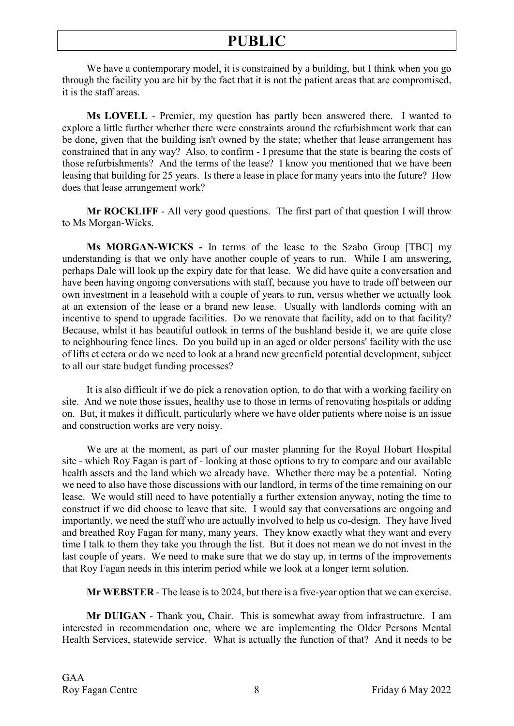We have a contemporary model, it is constrained by a building, but I think when you go through the facility you are hit by the fact that it is not the patient areas that are compromised, it is the staff areas.

**Ms LOVELL** - Premier, my question has partly been answered there. I wanted to explore a little further whether there were constraints around the refurbishment work that can be done, given that the building isn't owned by the state; whether that lease arrangement has constrained that in any way? Also, to confirm - I presume that the state is bearing the costs of those refurbishments? And the terms of the lease? I know you mentioned that we have been leasing that building for 25 years. Is there a lease in place for many years into the future? How does that lease arrangement work?

**Mr ROCKLIFF** - All very good questions. The first part of that question I will throw to Ms Morgan-Wicks.

**Ms MORGAN-WICKS -** In terms of the lease to the Szabo Group [TBC] my understanding is that we only have another couple of years to run. While I am answering, perhaps Dale will look up the expiry date for that lease. We did have quite a conversation and have been having ongoing conversations with staff, because you have to trade off between our own investment in a leasehold with a couple of years to run, versus whether we actually look at an extension of the lease or a brand new lease. Usually with landlords coming with an incentive to spend to upgrade facilities. Do we renovate that facility, add on to that facility? Because, whilst it has beautiful outlook in terms of the bushland beside it, we are quite close to neighbouring fence lines. Do you build up in an aged or older persons' facility with the use of lifts et cetera or do we need to look at a brand new greenfield potential development, subject to all our state budget funding processes?

It is also difficult if we do pick a renovation option, to do that with a working facility on site. And we note those issues, healthy use to those in terms of renovating hospitals or adding on. But, it makes it difficult, particularly where we have older patients where noise is an issue and construction works are very noisy.

We are at the moment, as part of our master planning for the Royal Hobart Hospital site - which Roy Fagan is part of - looking at those options to try to compare and our available health assets and the land which we already have. Whether there may be a potential. Noting we need to also have those discussions with our landlord, in terms of the time remaining on our lease. We would still need to have potentially a further extension anyway, noting the time to construct if we did choose to leave that site. I would say that conversations are ongoing and importantly, we need the staff who are actually involved to help us co-design. They have lived and breathed Roy Fagan for many, many years. They know exactly what they want and every time I talk to them they take you through the list. But it does not mean we do not invest in the last couple of years. We need to make sure that we do stay up, in terms of the improvements that Roy Fagan needs in this interim period while we look at a longer term solution.

**Mr WEBSTER** - The lease is to 2024, but there is a five-year option that we can exercise.

**Mr DUIGAN** - Thank you, Chair. This is somewhat away from infrastructure. I am interested in recommendation one, where we are implementing the Older Persons Mental Health Services, statewide service. What is actually the function of that? And it needs to be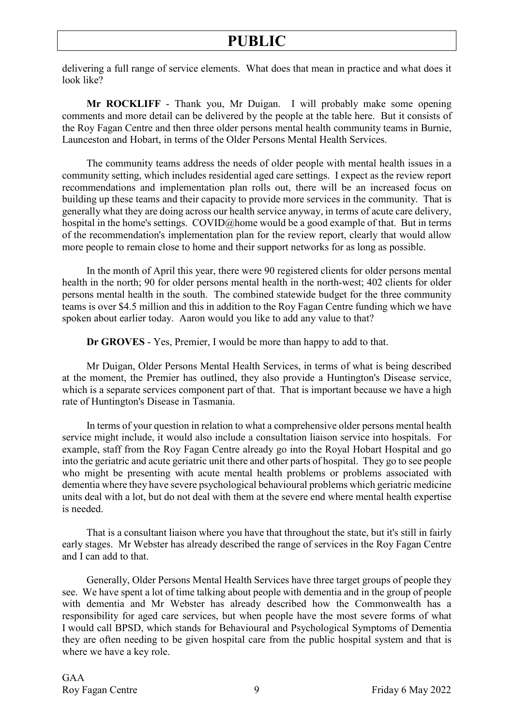delivering a full range of service elements. What does that mean in practice and what does it look like?

**Mr ROCKLIFF** - Thank you, Mr Duigan. I will probably make some opening comments and more detail can be delivered by the people at the table here. But it consists of the Roy Fagan Centre and then three older persons mental health community teams in Burnie, Launceston and Hobart, in terms of the Older Persons Mental Health Services.

The community teams address the needs of older people with mental health issues in a community setting, which includes residential aged care settings. I expect as the review report recommendations and implementation plan rolls out, there will be an increased focus on building up these teams and their capacity to provide more services in the community. That is generally what they are doing across our health service anyway, in terms of acute care delivery, hospital in the home's settings. COVID@home would be a good example of that. But in terms of the recommendation's implementation plan for the review report, clearly that would allow more people to remain close to home and their support networks for as long as possible.

In the month of April this year, there were 90 registered clients for older persons mental health in the north; 90 for older persons mental health in the north-west; 402 clients for older persons mental health in the south. The combined statewide budget for the three community teams is over \$4.5 million and this in addition to the Roy Fagan Centre funding which we have spoken about earlier today. Aaron would you like to add any value to that?

**Dr GROVES** - Yes, Premier, I would be more than happy to add to that.

Mr Duigan, Older Persons Mental Health Services, in terms of what is being described at the moment, the Premier has outlined, they also provide a Huntington's Disease service, which is a separate services component part of that. That is important because we have a high rate of Huntington's Disease in Tasmania.

In terms of your question in relation to what a comprehensive older persons mental health service might include, it would also include a consultation liaison service into hospitals. For example, staff from the Roy Fagan Centre already go into the Royal Hobart Hospital and go into the geriatric and acute geriatric unit there and other parts of hospital. They go to see people who might be presenting with acute mental health problems or problems associated with dementia where they have severe psychological behavioural problems which geriatric medicine units deal with a lot, but do not deal with them at the severe end where mental health expertise is needed.

That is a consultant liaison where you have that throughout the state, but it's still in fairly early stages. Mr Webster has already described the range of services in the Roy Fagan Centre and I can add to that.

Generally, Older Persons Mental Health Services have three target groups of people they see. We have spent a lot of time talking about people with dementia and in the group of people with dementia and Mr Webster has already described how the Commonwealth has a responsibility for aged care services, but when people have the most severe forms of what I would call BPSD, which stands for Behavioural and Psychological Symptoms of Dementia they are often needing to be given hospital care from the public hospital system and that is where we have a key role.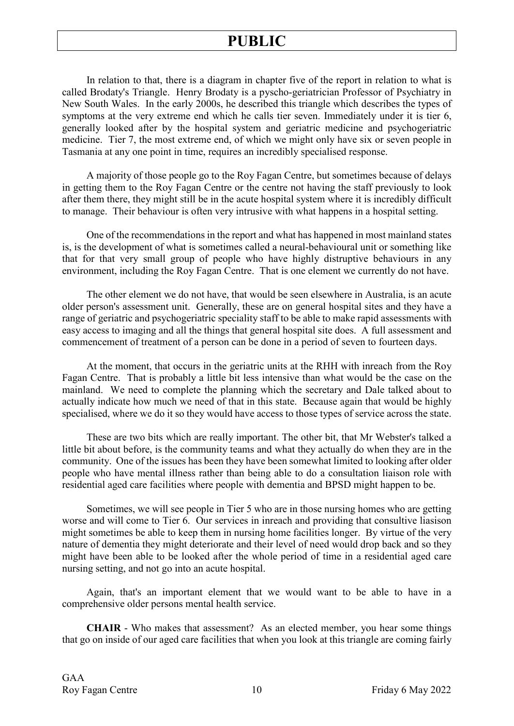In relation to that, there is a diagram in chapter five of the report in relation to what is called Brodaty's Triangle. Henry Brodaty is a pyscho-geriatrician Professor of Psychiatry in New South Wales. In the early 2000s, he described this triangle which describes the types of symptoms at the very extreme end which he calls tier seven. Immediately under it is tier 6, generally looked after by the hospital system and geriatric medicine and psychogeriatric medicine. Tier 7, the most extreme end, of which we might only have six or seven people in Tasmania at any one point in time, requires an incredibly specialised response.

A majority of those people go to the Roy Fagan Centre, but sometimes because of delays in getting them to the Roy Fagan Centre or the centre not having the staff previously to look after them there, they might still be in the acute hospital system where it is incredibly difficult to manage. Their behaviour is often very intrusive with what happens in a hospital setting.

One of the recommendations in the report and what has happened in most mainland states is, is the development of what is sometimes called a neural-behavioural unit or something like that for that very small group of people who have highly distruptive behaviours in any environment, including the Roy Fagan Centre. That is one element we currently do not have.

The other element we do not have, that would be seen elsewhere in Australia, is an acute older person's assessment unit. Generally, these are on general hospital sites and they have a range of geriatric and psychogeriatric speciality staff to be able to make rapid assessments with easy access to imaging and all the things that general hospital site does. A full assessment and commencement of treatment of a person can be done in a period of seven to fourteen days.

At the moment, that occurs in the geriatric units at the RHH with inreach from the Roy Fagan Centre. That is probably a little bit less intensive than what would be the case on the mainland. We need to complete the planning which the secretary and Dale talked about to actually indicate how much we need of that in this state. Because again that would be highly specialised, where we do it so they would have access to those types of service across the state.

These are two bits which are really important. The other bit, that Mr Webster's talked a little bit about before, is the community teams and what they actually do when they are in the community. One of the issues has been they have been somewhat limited to looking after older people who have mental illness rather than being able to do a consultation liaison role with residential aged care facilities where people with dementia and BPSD might happen to be.

Sometimes, we will see people in Tier 5 who are in those nursing homes who are getting worse and will come to Tier 6. Our services in inreach and providing that consultive liasison might sometimes be able to keep them in nursing home facilities longer. By virtue of the very nature of dementia they might deteriorate and their level of need would drop back and so they might have been able to be looked after the whole period of time in a residential aged care nursing setting, and not go into an acute hospital.

Again, that's an important element that we would want to be able to have in a comprehensive older persons mental health service.

**CHAIR** - Who makes that assessment? As an elected member, you hear some things that go on inside of our aged care facilities that when you look at this triangle are coming fairly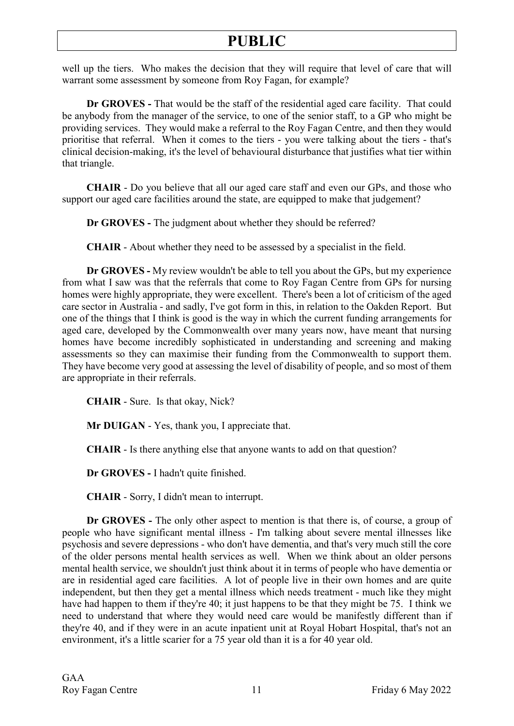well up the tiers. Who makes the decision that they will require that level of care that will warrant some assessment by someone from Roy Fagan, for example?

**Dr GROVES -** That would be the staff of the residential aged care facility. That could be anybody from the manager of the service, to one of the senior staff, to a GP who might be providing services. They would make a referral to the Roy Fagan Centre, and then they would prioritise that referral. When it comes to the tiers - you were talking about the tiers - that's clinical decision-making, it's the level of behavioural disturbance that justifies what tier within that triangle.

**CHAIR** - Do you believe that all our aged care staff and even our GPs, and those who support our aged care facilities around the state, are equipped to make that judgement?

**Dr GROVES -** The judgment about whether they should be referred?

**CHAIR** - About whether they need to be assessed by a specialist in the field.

**Dr GROVES -** My review wouldn't be able to tell you about the GPs, but my experience from what I saw was that the referrals that come to Roy Fagan Centre from GPs for nursing homes were highly appropriate, they were excellent. There's been a lot of criticism of the aged care sector in Australia - and sadly, I've got form in this, in relation to the Oakden Report. But one of the things that I think is good is the way in which the current funding arrangements for aged care, developed by the Commonwealth over many years now, have meant that nursing homes have become incredibly sophisticated in understanding and screening and making assessments so they can maximise their funding from the Commonwealth to support them. They have become very good at assessing the level of disability of people, and so most of them are appropriate in their referrals.

**CHAIR** - Sure. Is that okay, Nick?

**Mr DUIGAN** - Yes, thank you, I appreciate that.

**CHAIR** - Is there anything else that anyone wants to add on that question?

**Dr GROVES -** I hadn't quite finished.

**CHAIR** - Sorry, I didn't mean to interrupt.

**Dr GROVES -** The only other aspect to mention is that there is, of course, a group of people who have significant mental illness - I'm talking about severe mental illnesses like psychosis and severe depressions - who don't have dementia, and that's very much still the core of the older persons mental health services as well. When we think about an older persons mental health service, we shouldn't just think about it in terms of people who have dementia or are in residential aged care facilities. A lot of people live in their own homes and are quite independent, but then they get a mental illness which needs treatment - much like they might have had happen to them if they're 40; it just happens to be that they might be 75. I think we need to understand that where they would need care would be manifestly different than if they're 40, and if they were in an acute inpatient unit at Royal Hobart Hospital, that's not an environment, it's a little scarier for a 75 year old than it is a for 40 year old.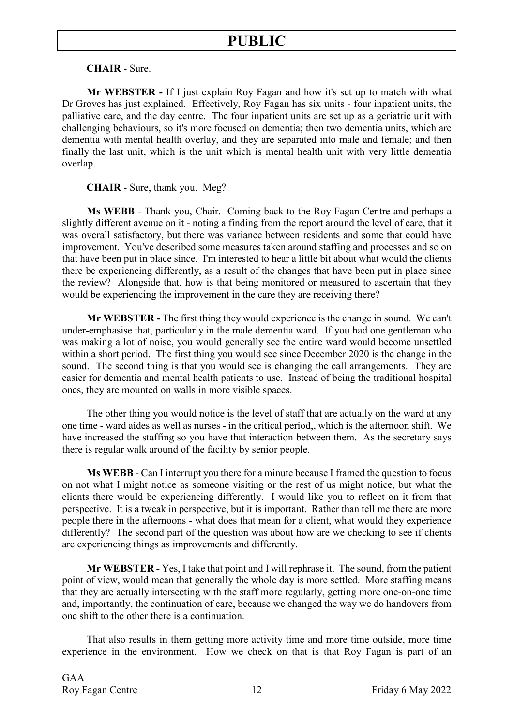### **CHAIR** - Sure.

**Mr WEBSTER -** If I just explain Roy Fagan and how it's set up to match with what Dr Groves has just explained. Effectively, Roy Fagan has six units - four inpatient units, the palliative care, and the day centre. The four inpatient units are set up as a geriatric unit with challenging behaviours, so it's more focused on dementia; then two dementia units, which are dementia with mental health overlay, and they are separated into male and female; and then finally the last unit, which is the unit which is mental health unit with very little dementia overlap.

### **CHAIR** - Sure, thank you. Meg?

**Ms WEBB -** Thank you, Chair. Coming back to the Roy Fagan Centre and perhaps a slightly different avenue on it - noting a finding from the report around the level of care, that it was overall satisfactory, but there was variance between residents and some that could have improvement. You've described some measures taken around staffing and processes and so on that have been put in place since. I'm interested to hear a little bit about what would the clients there be experiencing differently, as a result of the changes that have been put in place since the review? Alongside that, how is that being monitored or measured to ascertain that they would be experiencing the improvement in the care they are receiving there?

**Mr WEBSTER -** The first thing they would experience is the change in sound. We can't under-emphasise that, particularly in the male dementia ward. If you had one gentleman who was making a lot of noise, you would generally see the entire ward would become unsettled within a short period. The first thing you would see since December 2020 is the change in the sound. The second thing is that you would see is changing the call arrangements. They are easier for dementia and mental health patients to use. Instead of being the traditional hospital ones, they are mounted on walls in more visible spaces.

The other thing you would notice is the level of staff that are actually on the ward at any one time - ward aides as well as nurses - in the critical period,, which is the afternoon shift. We have increased the staffing so you have that interaction between them. As the secretary says there is regular walk around of the facility by senior people.

**Ms WEBB** - Can I interrupt you there for a minute because I framed the question to focus on not what I might notice as someone visiting or the rest of us might notice, but what the clients there would be experiencing differently. I would like you to reflect on it from that perspective. It is a tweak in perspective, but it is important. Rather than tell me there are more people there in the afternoons - what does that mean for a client, what would they experience differently? The second part of the question was about how are we checking to see if clients are experiencing things as improvements and differently.

**Mr WEBSTER -** Yes, I take that point and I will rephrase it. The sound, from the patient point of view, would mean that generally the whole day is more settled. More staffing means that they are actually intersecting with the staff more regularly, getting more one-on-one time and, importantly, the continuation of care, because we changed the way we do handovers from one shift to the other there is a continuation.

That also results in them getting more activity time and more time outside, more time experience in the environment. How we check on that is that Roy Fagan is part of an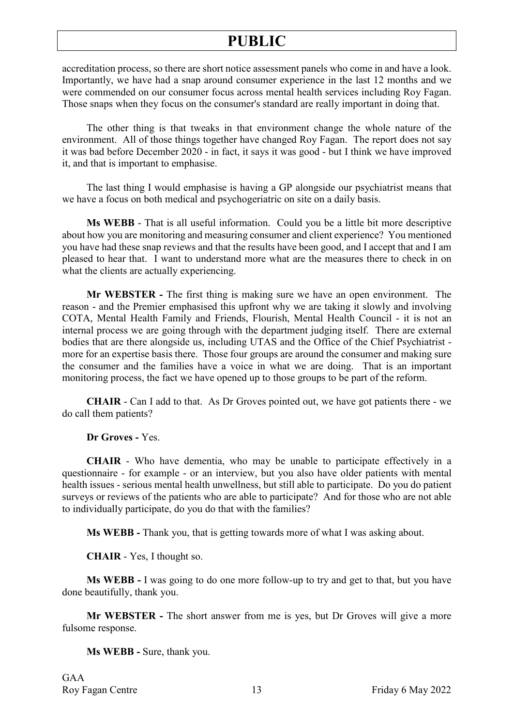accreditation process, so there are short notice assessment panels who come in and have a look. Importantly, we have had a snap around consumer experience in the last 12 months and we were commended on our consumer focus across mental health services including Roy Fagan. Those snaps when they focus on the consumer's standard are really important in doing that.

The other thing is that tweaks in that environment change the whole nature of the environment. All of those things together have changed Roy Fagan. The report does not say it was bad before December 2020 - in fact, it says it was good - but I think we have improved it, and that is important to emphasise.

The last thing I would emphasise is having a GP alongside our psychiatrist means that we have a focus on both medical and psychogeriatric on site on a daily basis.

**Ms WEBB** - That is all useful information. Could you be a little bit more descriptive about how you are monitoring and measuring consumer and client experience? You mentioned you have had these snap reviews and that the results have been good, and I accept that and I am pleased to hear that. I want to understand more what are the measures there to check in on what the clients are actually experiencing.

**Mr WEBSTER -** The first thing is making sure we have an open environment. The reason - and the Premier emphasised this upfront why we are taking it slowly and involving COTA, Mental Health Family and Friends, Flourish, Mental Health Council - it is not an internal process we are going through with the department judging itself. There are external bodies that are there alongside us, including UTAS and the Office of the Chief Psychiatrist more for an expertise basis there. Those four groups are around the consumer and making sure the consumer and the families have a voice in what we are doing. That is an important monitoring process, the fact we have opened up to those groups to be part of the reform.

**CHAIR** - Can I add to that. As Dr Groves pointed out, we have got patients there - we do call them patients?

**Dr Groves -** Yes.

**CHAIR** - Who have dementia, who may be unable to participate effectively in a questionnaire - for example - or an interview, but you also have older patients with mental health issues - serious mental health unwellness, but still able to participate. Do you do patient surveys or reviews of the patients who are able to participate? And for those who are not able to individually participate, do you do that with the families?

**Ms WEBB -** Thank you, that is getting towards more of what I was asking about.

**CHAIR** - Yes, I thought so.

**Ms WEBB -** I was going to do one more follow-up to try and get to that, but you have done beautifully, thank you.

**Mr WEBSTER -** The short answer from me is yes, but Dr Groves will give a more fulsome response.

**Ms WEBB -** Sure, thank you.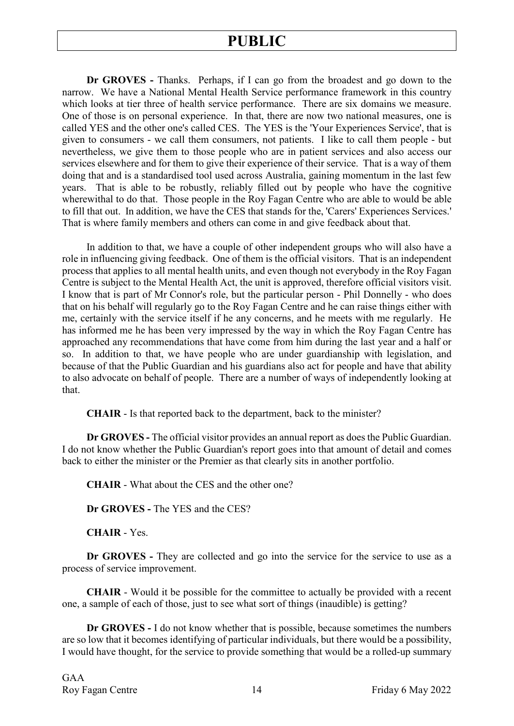**Dr GROVES -** Thanks. Perhaps, if I can go from the broadest and go down to the narrow. We have a National Mental Health Service performance framework in this country which looks at tier three of health service performance. There are six domains we measure. One of those is on personal experience. In that, there are now two national measures, one is called YES and the other one's called CES. The YES is the 'Your Experiences Service', that is given to consumers - we call them consumers, not patients. I like to call them people - but nevertheless, we give them to those people who are in patient services and also access our services elsewhere and for them to give their experience of their service. That is a way of them doing that and is a standardised tool used across Australia, gaining momentum in the last few years. That is able to be robustly, reliably filled out by people who have the cognitive wherewithal to do that. Those people in the Roy Fagan Centre who are able to would be able to fill that out. In addition, we have the CES that stands for the, 'Carers' Experiences Services.' That is where family members and others can come in and give feedback about that.

In addition to that, we have a couple of other independent groups who will also have a role in influencing giving feedback. One of them is the official visitors. That is an independent process that applies to all mental health units, and even though not everybody in the Roy Fagan Centre is subject to the Mental Health Act, the unit is approved, therefore official visitors visit. I know that is part of Mr Connor's role, but the particular person - Phil Donnelly - who does that on his behalf will regularly go to the Roy Fagan Centre and he can raise things either with me, certainly with the service itself if he any concerns, and he meets with me regularly. He has informed me he has been very impressed by the way in which the Roy Fagan Centre has approached any recommendations that have come from him during the last year and a half or so. In addition to that, we have people who are under guardianship with legislation, and because of that the Public Guardian and his guardians also act for people and have that ability to also advocate on behalf of people. There are a number of ways of independently looking at that.

**CHAIR** - Is that reported back to the department, back to the minister?

**Dr GROVES -** The official visitor provides an annual report as does the Public Guardian. I do not know whether the Public Guardian's report goes into that amount of detail and comes back to either the minister or the Premier as that clearly sits in another portfolio.

**CHAIR** - What about the CES and the other one?

**Dr GROVES -** The YES and the CES?

**CHAIR** - Yes.

**Dr GROVES -** They are collected and go into the service for the service to use as a process of service improvement.

**CHAIR** - Would it be possible for the committee to actually be provided with a recent one, a sample of each of those, just to see what sort of things (inaudible) is getting?

**Dr GROVES -** I do not know whether that is possible, because sometimes the numbers are so low that it becomes identifying of particular individuals, but there would be a possibility, I would have thought, for the service to provide something that would be a rolled-up summary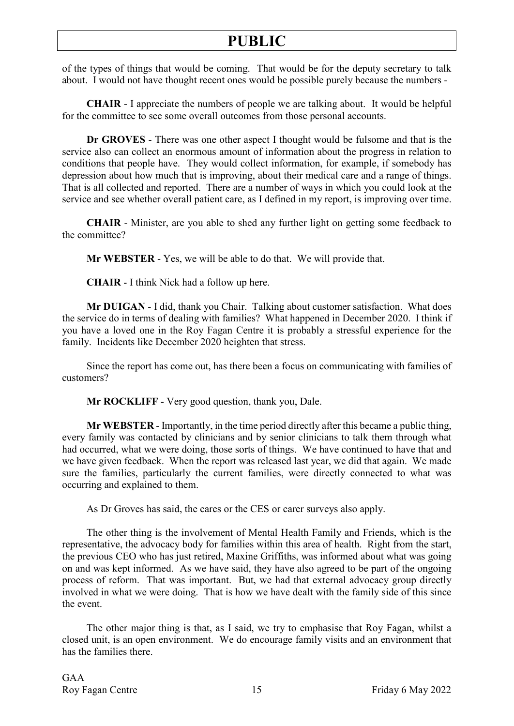of the types of things that would be coming. That would be for the deputy secretary to talk about. I would not have thought recent ones would be possible purely because the numbers -

**CHAIR** - I appreciate the numbers of people we are talking about. It would be helpful for the committee to see some overall outcomes from those personal accounts.

**Dr GROVES** - There was one other aspect I thought would be fulsome and that is the service also can collect an enormous amount of information about the progress in relation to conditions that people have. They would collect information, for example, if somebody has depression about how much that is improving, about their medical care and a range of things. That is all collected and reported. There are a number of ways in which you could look at the service and see whether overall patient care, as I defined in my report, is improving over time.

**CHAIR** - Minister, are you able to shed any further light on getting some feedback to the committee?

**Mr WEBSTER** - Yes, we will be able to do that. We will provide that.

**CHAIR** - I think Nick had a follow up here.

**Mr DUIGAN** - I did, thank you Chair. Talking about customer satisfaction. What does the service do in terms of dealing with families? What happened in December 2020. I think if you have a loved one in the Roy Fagan Centre it is probably a stressful experience for the family. Incidents like December 2020 heighten that stress.

Since the report has come out, has there been a focus on communicating with families of customers?

**Mr ROCKLIFF** - Very good question, thank you, Dale.

**Mr WEBSTER** - Importantly, in the time period directly after this became a public thing, every family was contacted by clinicians and by senior clinicians to talk them through what had occurred, what we were doing, those sorts of things. We have continued to have that and we have given feedback. When the report was released last year, we did that again. We made sure the families, particularly the current families, were directly connected to what was occurring and explained to them.

As Dr Groves has said, the cares or the CES or carer surveys also apply.

The other thing is the involvement of Mental Health Family and Friends, which is the representative, the advocacy body for families within this area of health. Right from the start, the previous CEO who has just retired, Maxine Griffiths, was informed about what was going on and was kept informed. As we have said, they have also agreed to be part of the ongoing process of reform. That was important. But, we had that external advocacy group directly involved in what we were doing. That is how we have dealt with the family side of this since the event.

The other major thing is that, as I said, we try to emphasise that Roy Fagan, whilst a closed unit, is an open environment. We do encourage family visits and an environment that has the families there.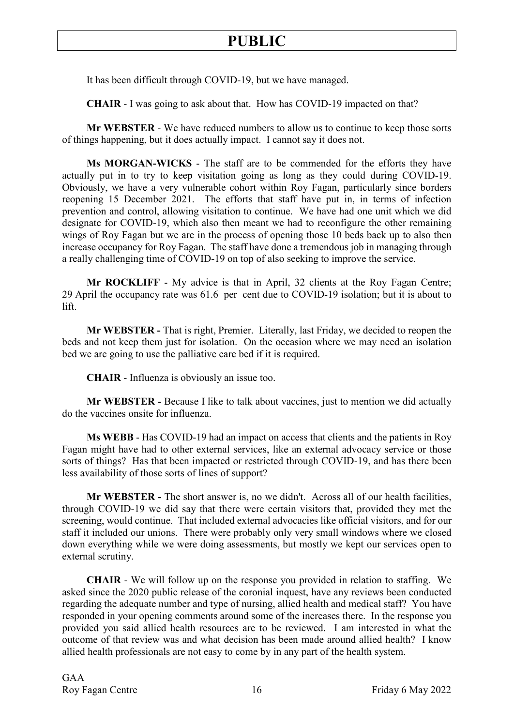It has been difficult through COVID-19, but we have managed.

**CHAIR** - I was going to ask about that. How has COVID-19 impacted on that?

**Mr WEBSTER** - We have reduced numbers to allow us to continue to keep those sorts of things happening, but it does actually impact. I cannot say it does not.

**Ms MORGAN-WICKS** - The staff are to be commended for the efforts they have actually put in to try to keep visitation going as long as they could during COVID-19. Obviously, we have a very vulnerable cohort within Roy Fagan, particularly since borders reopening 15 December 2021. The efforts that staff have put in, in terms of infection prevention and control, allowing visitation to continue. We have had one unit which we did designate for COVID-19, which also then meant we had to reconfigure the other remaining wings of Roy Fagan but we are in the process of opening those 10 beds back up to also then increase occupancy for Roy Fagan. The staff have done a tremendous job in managing through a really challenging time of COVID-19 on top of also seeking to improve the service.

**Mr ROCKLIFF** - My advice is that in April, 32 clients at the Roy Fagan Centre; 29 April the occupancy rate was 61.6 per cent due to COVID-19 isolation; but it is about to lift.

**Mr WEBSTER -** That is right, Premier. Literally, last Friday, we decided to reopen the beds and not keep them just for isolation. On the occasion where we may need an isolation bed we are going to use the palliative care bed if it is required.

**CHAIR** - Influenza is obviously an issue too.

**Mr WEBSTER -** Because I like to talk about vaccines, just to mention we did actually do the vaccines onsite for influenza.

**Ms WEBB** - Has COVID-19 had an impact on access that clients and the patients in Roy Fagan might have had to other external services, like an external advocacy service or those sorts of things? Has that been impacted or restricted through COVID-19, and has there been less availability of those sorts of lines of support?

**Mr WEBSTER -** The short answer is, no we didn't. Across all of our health facilities, through COVID-19 we did say that there were certain visitors that, provided they met the screening, would continue. That included external advocacies like official visitors, and for our staff it included our unions. There were probably only very small windows where we closed down everything while we were doing assessments, but mostly we kept our services open to external scrutiny.

**CHAIR** - We will follow up on the response you provided in relation to staffing. We asked since the 2020 public release of the coronial inquest, have any reviews been conducted regarding the adequate number and type of nursing, allied health and medical staff? You have responded in your opening comments around some of the increases there. In the response you provided you said allied health resources are to be reviewed. I am interested in what the outcome of that review was and what decision has been made around allied health? I know allied health professionals are not easy to come by in any part of the health system.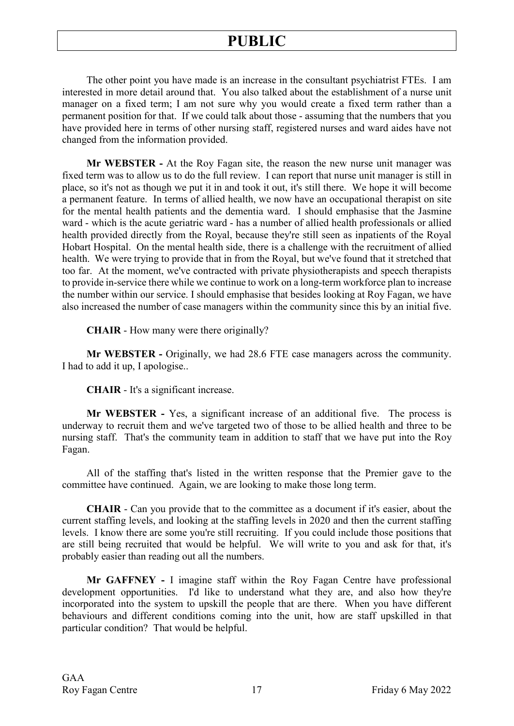The other point you have made is an increase in the consultant psychiatrist FTEs. I am interested in more detail around that. You also talked about the establishment of a nurse unit manager on a fixed term; I am not sure why you would create a fixed term rather than a permanent position for that. If we could talk about those - assuming that the numbers that you have provided here in terms of other nursing staff, registered nurses and ward aides have not changed from the information provided.

**Mr WEBSTER -** At the Roy Fagan site, the reason the new nurse unit manager was fixed term was to allow us to do the full review. I can report that nurse unit manager is still in place, so it's not as though we put it in and took it out, it's still there. We hope it will become a permanent feature. In terms of allied health, we now have an occupational therapist on site for the mental health patients and the dementia ward. I should emphasise that the Jasmine ward - which is the acute geriatric ward - has a number of allied health professionals or allied health provided directly from the Royal, because they're still seen as inpatients of the Royal Hobart Hospital. On the mental health side, there is a challenge with the recruitment of allied health. We were trying to provide that in from the Royal, but we've found that it stretched that too far. At the moment, we've contracted with private physiotherapists and speech therapists to provide in-service there while we continue to work on a long-term workforce plan to increase the number within our service. I should emphasise that besides looking at Roy Fagan, we have also increased the number of case managers within the community since this by an initial five.

**CHAIR** - How many were there originally?

**Mr WEBSTER -** Originally, we had 28.6 FTE case managers across the community. I had to add it up, I apologise..

**CHAIR** - It's a significant increase.

**Mr WEBSTER -** Yes, a significant increase of an additional five. The process is underway to recruit them and we've targeted two of those to be allied health and three to be nursing staff. That's the community team in addition to staff that we have put into the Roy Fagan.

All of the staffing that's listed in the written response that the Premier gave to the committee have continued. Again, we are looking to make those long term.

**CHAIR** - Can you provide that to the committee as a document if it's easier, about the current staffing levels, and looking at the staffing levels in 2020 and then the current staffing levels. I know there are some you're still recruiting. If you could include those positions that are still being recruited that would be helpful. We will write to you and ask for that, it's probably easier than reading out all the numbers.

**Mr GAFFNEY -** I imagine staff within the Roy Fagan Centre have professional development opportunities. I'd like to understand what they are, and also how they're incorporated into the system to upskill the people that are there. When you have different behaviours and different conditions coming into the unit, how are staff upskilled in that particular condition? That would be helpful.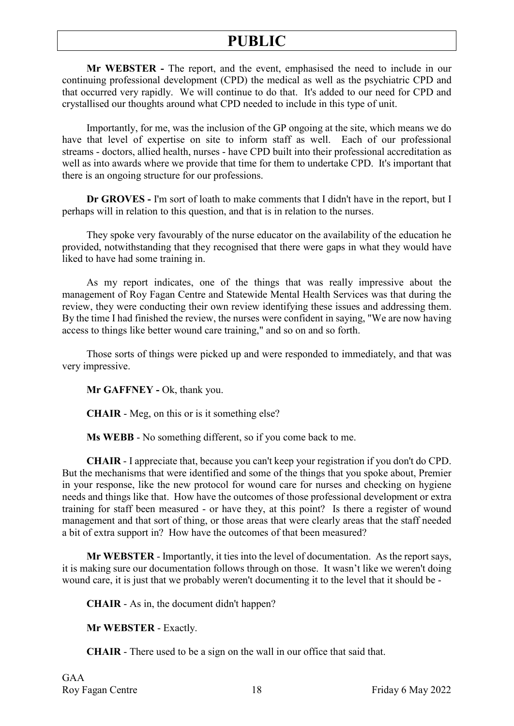**Mr WEBSTER -** The report, and the event, emphasised the need to include in our continuing professional development (CPD) the medical as well as the psychiatric CPD and that occurred very rapidly. We will continue to do that. It's added to our need for CPD and crystallised our thoughts around what CPD needed to include in this type of unit.

Importantly, for me, was the inclusion of the GP ongoing at the site, which means we do have that level of expertise on site to inform staff as well. Each of our professional streams - doctors, allied health, nurses - have CPD built into their professional accreditation as well as into awards where we provide that time for them to undertake CPD. It's important that there is an ongoing structure for our professions.

**Dr GROVES -** I'm sort of loath to make comments that I didn't have in the report, but I perhaps will in relation to this question, and that is in relation to the nurses.

They spoke very favourably of the nurse educator on the availability of the education he provided, notwithstanding that they recognised that there were gaps in what they would have liked to have had some training in.

As my report indicates, one of the things that was really impressive about the management of Roy Fagan Centre and Statewide Mental Health Services was that during the review, they were conducting their own review identifying these issues and addressing them. By the time I had finished the review, the nurses were confident in saying, "We are now having access to things like better wound care training," and so on and so forth.

Those sorts of things were picked up and were responded to immediately, and that was very impressive.

**Mr GAFFNEY -** Ok, thank you.

**CHAIR** - Meg, on this or is it something else?

**Ms WEBB** - No something different, so if you come back to me.

**CHAIR** - I appreciate that, because you can't keep your registration if you don't do CPD. But the mechanisms that were identified and some of the things that you spoke about, Premier in your response, like the new protocol for wound care for nurses and checking on hygiene needs and things like that. How have the outcomes of those professional development or extra training for staff been measured - or have they, at this point? Is there a register of wound management and that sort of thing, or those areas that were clearly areas that the staff needed a bit of extra support in? How have the outcomes of that been measured?

**Mr WEBSTER** - Importantly, it ties into the level of documentation. As the report says, it is making sure our documentation follows through on those. It wasn't like we weren't doing wound care, it is just that we probably weren't documenting it to the level that it should be -

**CHAIR** - As in, the document didn't happen?

**Mr WEBSTER** - Exactly.

**CHAIR** - There used to be a sign on the wall in our office that said that.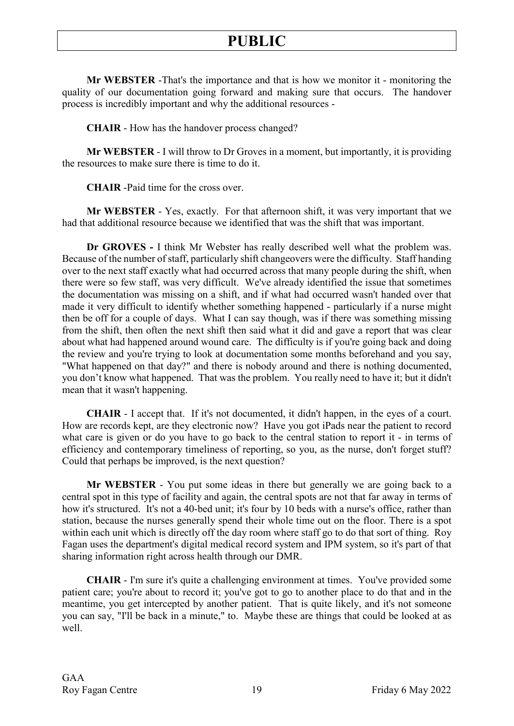**Mr WEBSTER** -That's the importance and that is how we monitor it - monitoring the quality of our documentation going forward and making sure that occurs. The handover process is incredibly important and why the additional resources -

**CHAIR** - How has the handover process changed?

**Mr WEBSTER** - I will throw to Dr Groves in a moment, but importantly, it is providing the resources to make sure there is time to do it.

**CHAIR** -Paid time for the cross over.

**Mr WEBSTER** - Yes, exactly. For that afternoon shift, it was very important that we had that additional resource because we identified that was the shift that was important.

**Dr GROVES -** I think Mr Webster has really described well what the problem was. Because of the number of staff, particularly shift changeovers were the difficulty. Staff handing over to the next staff exactly what had occurred across that many people during the shift, when there were so few staff, was very difficult. We've already identified the issue that sometimes the documentation was missing on a shift, and if what had occurred wasn't handed over that made it very difficult to identify whether something happened - particularly if a nurse might then be off for a couple of days. What I can say though, was if there was something missing from the shift, then often the next shift then said what it did and gave a report that was clear about what had happened around wound care. The difficulty is if you're going back and doing the review and you're trying to look at documentation some months beforehand and you say, "What happened on that day?" and there is nobody around and there is nothing documented, you don't know what happened. That was the problem. You really need to have it; but it didn't mean that it wasn't happening.

**CHAIR** - I accept that. If it's not documented, it didn't happen, in the eyes of a court. How are records kept, are they electronic now? Have you got iPads near the patient to record what care is given or do you have to go back to the central station to report it - in terms of efficiency and contemporary timeliness of reporting, so you, as the nurse, don't forget stuff? Could that perhaps be improved, is the next question?

**Mr WEBSTER** - You put some ideas in there but generally we are going back to a central spot in this type of facility and again, the central spots are not that far away in terms of how it's structured. It's not a 40-bed unit; it's four by 10 beds with a nurse's office, rather than station, because the nurses generally spend their whole time out on the floor. There is a spot within each unit which is directly off the day room where staff go to do that sort of thing. Roy Fagan uses the department's digital medical record system and IPM system, so it's part of that sharing information right across health through our DMR.

**CHAIR** - I'm sure it's quite a challenging environment at times. You've provided some patient care; you're about to record it; you've got to go to another place to do that and in the meantime, you get intercepted by another patient. That is quite likely, and it's not someone you can say, "I'll be back in a minute," to. Maybe these are things that could be looked at as well.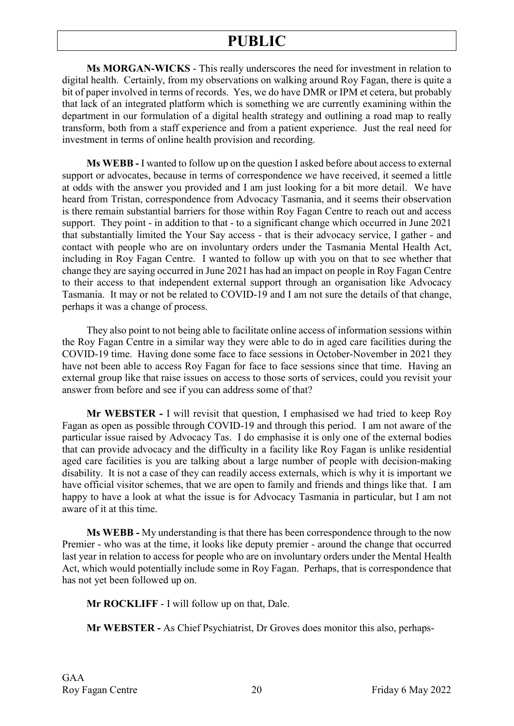**Ms MORGAN-WICKS** - This really underscores the need for investment in relation to digital health. Certainly, from my observations on walking around Roy Fagan, there is quite a bit of paper involved in terms of records. Yes, we do have DMR or IPM et cetera, but probably that lack of an integrated platform which is something we are currently examining within the department in our formulation of a digital health strategy and outlining a road map to really transform, both from a staff experience and from a patient experience. Just the real need for investment in terms of online health provision and recording.

**Ms WEBB -** I wanted to follow up on the question I asked before about access to external support or advocates, because in terms of correspondence we have received, it seemed a little at odds with the answer you provided and I am just looking for a bit more detail. We have heard from Tristan, correspondence from Advocacy Tasmania, and it seems their observation is there remain substantial barriers for those within Roy Fagan Centre to reach out and access support. They point - in addition to that - to a significant change which occurred in June 2021 that substantially limited the Your Say access - that is their advocacy service, I gather - and contact with people who are on involuntary orders under the Tasmania Mental Health Act, including in Roy Fagan Centre. I wanted to follow up with you on that to see whether that change they are saying occurred in June 2021 has had an impact on people in Roy Fagan Centre to their access to that independent external support through an organisation like Advocacy Tasmania. It may or not be related to COVID-19 and I am not sure the details of that change, perhaps it was a change of process.

They also point to not being able to facilitate online access of information sessions within the Roy Fagan Centre in a similar way they were able to do in aged care facilities during the COVID-19 time. Having done some face to face sessions in October-November in 2021 they have not been able to access Roy Fagan for face to face sessions since that time. Having an external group like that raise issues on access to those sorts of services, could you revisit your answer from before and see if you can address some of that?

**Mr WEBSTER -** I will revisit that question, I emphasised we had tried to keep Roy Fagan as open as possible through COVID-19 and through this period. I am not aware of the particular issue raised by Advocacy Tas. I do emphasise it is only one of the external bodies that can provide advocacy and the difficulty in a facility like Roy Fagan is unlike residential aged care facilities is you are talking about a large number of people with decision-making disability. It is not a case of they can readily access externals, which is why it is important we have official visitor schemes, that we are open to family and friends and things like that. I am happy to have a look at what the issue is for Advocacy Tasmania in particular, but I am not aware of it at this time.

**Ms WEBB -** My understanding is that there has been correspondence through to the now Premier - who was at the time, it looks like deputy premier - around the change that occurred last year in relation to access for people who are on involuntary orders under the Mental Health Act, which would potentially include some in Roy Fagan. Perhaps, that is correspondence that has not yet been followed up on.

**Mr ROCKLIFF** - I will follow up on that, Dale.

**Mr WEBSTER -** As Chief Psychiatrist, Dr Groves does monitor this also, perhaps-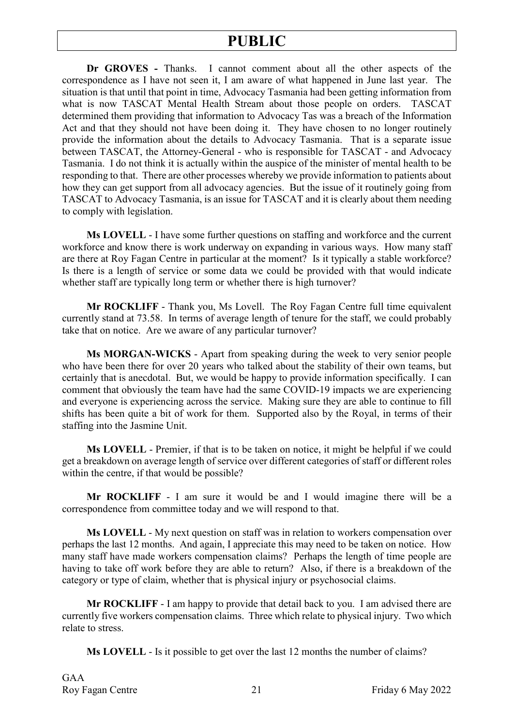**Dr GROVES -** Thanks. I cannot comment about all the other aspects of the correspondence as I have not seen it, I am aware of what happened in June last year. The situation is that until that point in time, Advocacy Tasmania had been getting information from what is now TASCAT Mental Health Stream about those people on orders. TASCAT determined them providing that information to Advocacy Tas was a breach of the Information Act and that they should not have been doing it. They have chosen to no longer routinely provide the information about the details to Advocacy Tasmania. That is a separate issue between TASCAT, the Attorney-General - who is responsible for TASCAT - and Advocacy Tasmania. I do not think it is actually within the auspice of the minister of mental health to be responding to that. There are other processes whereby we provide information to patients about how they can get support from all advocacy agencies. But the issue of it routinely going from TASCAT to Advocacy Tasmania, is an issue for TASCAT and it is clearly about them needing to comply with legislation.

**Ms LOVELL** - I have some further questions on staffing and workforce and the current workforce and know there is work underway on expanding in various ways. How many staff are there at Roy Fagan Centre in particular at the moment? Is it typically a stable workforce? Is there is a length of service or some data we could be provided with that would indicate whether staff are typically long term or whether there is high turnover?

**Mr ROCKLIFF** - Thank you, Ms Lovell. The Roy Fagan Centre full time equivalent currently stand at 73.58. In terms of average length of tenure for the staff, we could probably take that on notice. Are we aware of any particular turnover?

**Ms MORGAN-WICKS** - Apart from speaking during the week to very senior people who have been there for over 20 years who talked about the stability of their own teams, but certainly that is anecdotal. But, we would be happy to provide information specifically. I can comment that obviously the team have had the same COVID-19 impacts we are experiencing and everyone is experiencing across the service. Making sure they are able to continue to fill shifts has been quite a bit of work for them. Supported also by the Royal, in terms of their staffing into the Jasmine Unit.

**Ms LOVELL** - Premier, if that is to be taken on notice, it might be helpful if we could get a breakdown on average length of service over different categories of staff or different roles within the centre, if that would be possible?

**Mr ROCKLIFF** - I am sure it would be and I would imagine there will be a correspondence from committee today and we will respond to that.

**Ms LOVELL** - My next question on staff was in relation to workers compensation over perhaps the last 12 months. And again, I appreciate this may need to be taken on notice. How many staff have made workers compensation claims? Perhaps the length of time people are having to take off work before they are able to return? Also, if there is a breakdown of the category or type of claim, whether that is physical injury or psychosocial claims.

**Mr ROCKLIFF** - I am happy to provide that detail back to you. I am advised there are currently five workers compensation claims. Three which relate to physical injury. Two which relate to stress.

**Ms LOVELL** - Is it possible to get over the last 12 months the number of claims?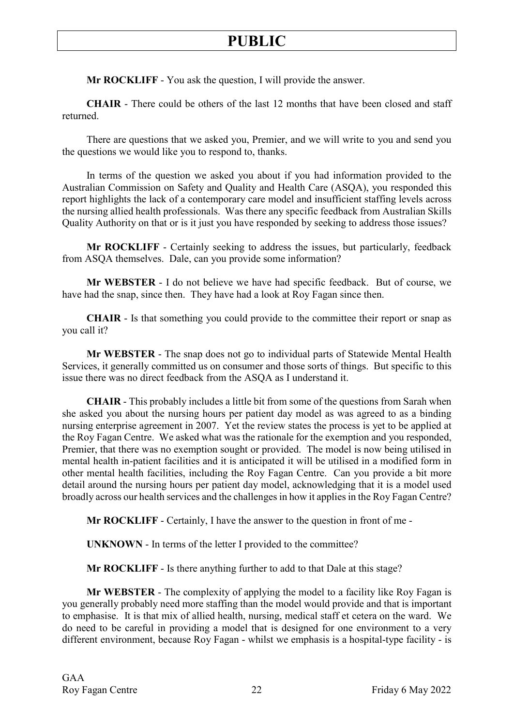**Mr ROCKLIFF** - You ask the question, I will provide the answer.

**CHAIR** - There could be others of the last 12 months that have been closed and staff returned.

There are questions that we asked you, Premier, and we will write to you and send you the questions we would like you to respond to, thanks.

In terms of the question we asked you about if you had information provided to the Australian Commission on Safety and Quality and Health Care (ASQA), you responded this report highlights the lack of a contemporary care model and insufficient staffing levels across the nursing allied health professionals. Was there any specific feedback from Australian Skills Quality Authority on that or is it just you have responded by seeking to address those issues?

**Mr ROCKLIFF** - Certainly seeking to address the issues, but particularly, feedback from ASQA themselves. Dale, can you provide some information?

**Mr WEBSTER** - I do not believe we have had specific feedback. But of course, we have had the snap, since then. They have had a look at Roy Fagan since then.

**CHAIR** - Is that something you could provide to the committee their report or snap as you call it?

**Mr WEBSTER** - The snap does not go to individual parts of Statewide Mental Health Services, it generally committed us on consumer and those sorts of things. But specific to this issue there was no direct feedback from the ASQA as I understand it.

**CHAIR** - This probably includes a little bit from some of the questions from Sarah when she asked you about the nursing hours per patient day model as was agreed to as a binding nursing enterprise agreement in 2007. Yet the review states the process is yet to be applied at the Roy Fagan Centre. We asked what was the rationale for the exemption and you responded, Premier, that there was no exemption sought or provided. The model is now being utilised in mental health in-patient facilities and it is anticipated it will be utilised in a modified form in other mental health facilities, including the Roy Fagan Centre. Can you provide a bit more detail around the nursing hours per patient day model, acknowledging that it is a model used broadly across our health services and the challenges in how it applies in the Roy Fagan Centre?

**Mr ROCKLIFF** - Certainly, I have the answer to the question in front of me -

**UNKNOWN** - In terms of the letter I provided to the committee?

**Mr ROCKLIFF** - Is there anything further to add to that Dale at this stage?

**Mr WEBSTER** - The complexity of applying the model to a facility like Roy Fagan is you generally probably need more staffing than the model would provide and that is important to emphasise. It is that mix of allied health, nursing, medical staff et cetera on the ward. We do need to be careful in providing a model that is designed for one environment to a very different environment, because Roy Fagan - whilst we emphasis is a hospital-type facility - is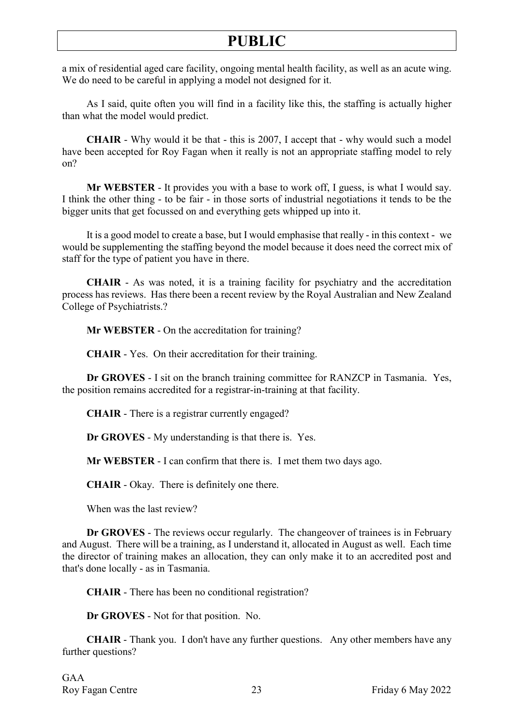a mix of residential aged care facility, ongoing mental health facility, as well as an acute wing. We do need to be careful in applying a model not designed for it.

As I said, quite often you will find in a facility like this, the staffing is actually higher than what the model would predict.

**CHAIR** - Why would it be that - this is 2007, I accept that - why would such a model have been accepted for Roy Fagan when it really is not an appropriate staffing model to rely on?

**Mr WEBSTER** - It provides you with a base to work off, I guess, is what I would say. I think the other thing - to be fair - in those sorts of industrial negotiations it tends to be the bigger units that get focussed on and everything gets whipped up into it.

It is a good model to create a base, but I would emphasise that really - in this context - we would be supplementing the staffing beyond the model because it does need the correct mix of staff for the type of patient you have in there.

**CHAIR** - As was noted, it is a training facility for psychiatry and the accreditation process has reviews. Has there been a recent review by the Royal Australian and New Zealand College of Psychiatrists.?

**Mr WEBSTER** - On the accreditation for training?

**CHAIR** - Yes. On their accreditation for their training.

**Dr GROVES** - I sit on the branch training committee for RANZCP in Tasmania. Yes, the position remains accredited for a registrar-in-training at that facility.

**CHAIR** - There is a registrar currently engaged?

**Dr GROVES** - My understanding is that there is. Yes.

**Mr WEBSTER** - I can confirm that there is. I met them two days ago.

**CHAIR** - Okay. There is definitely one there.

When was the last review?

**Dr GROVES** - The reviews occur regularly. The changeover of trainees is in February and August. There will be a training, as I understand it, allocated in August as well. Each time the director of training makes an allocation, they can only make it to an accredited post and that's done locally - as in Tasmania.

**CHAIR** - There has been no conditional registration?

**Dr GROVES** - Not for that position. No.

**CHAIR** - Thank you. I don't have any further questions. Any other members have any further questions?